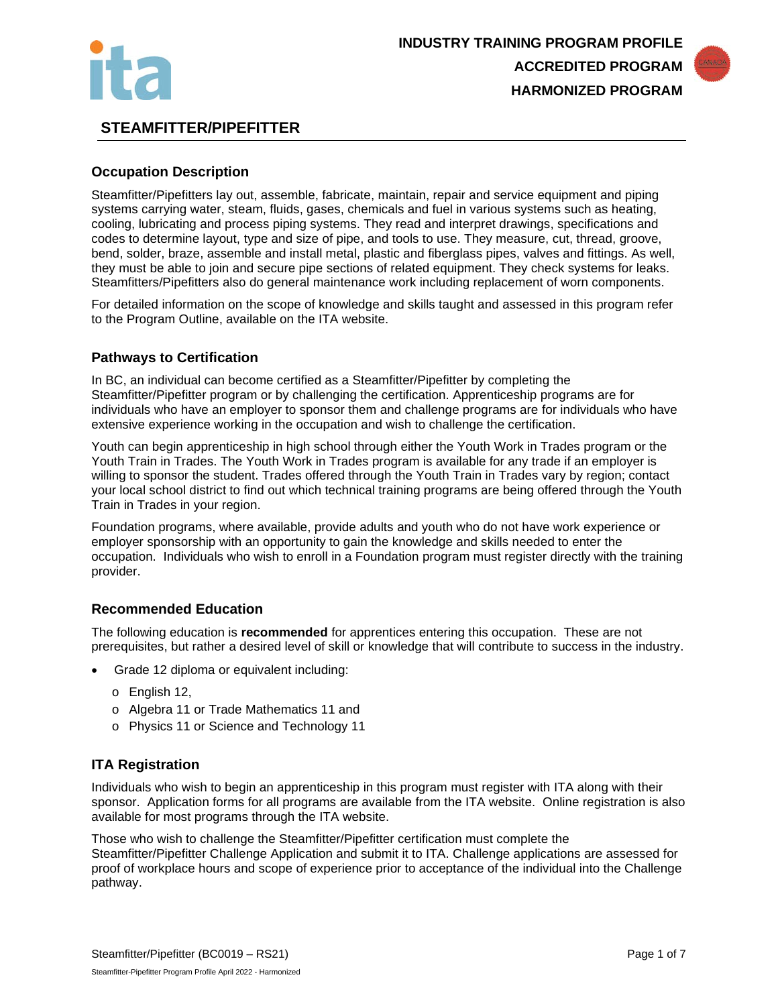



# **STEAMFITTER/PIPEFITTER**

## **Occupation Description**

Steamfitter/Pipefitters lay out, assemble, fabricate, maintain, repair and service equipment and piping systems carrying water, steam, fluids, gases, chemicals and fuel in various systems such as heating, cooling, lubricating and process piping systems. They read and interpret drawings, specifications and codes to determine layout, type and size of pipe, and tools to use. They measure, cut, thread, groove, bend, solder, braze, assemble and install metal, plastic and fiberglass pipes, valves and fittings. As well, they must be able to join and secure pipe sections of related equipment. They check systems for leaks. Steamfitters/Pipefitters also do general maintenance work including replacement of worn components.

For detailed information on the scope of knowledge and skills taught and assessed in this program refer to the Program Outline, available on the ITA website.

#### **Pathways to Certification**

In BC, an individual can become certified as a Steamfitter/Pipefitter by completing the Steamfitter/Pipefitter program or by challenging the certification. Apprenticeship programs are for individuals who have an employer to sponsor them and challenge programs are for individuals who have extensive experience working in the occupation and wish to challenge the certification.

Youth can begin apprenticeship in high school through either the Youth Work in Trades program or the Youth Train in Trades. The Youth Work in Trades program is available for any trade if an employer is willing to sponsor the student. Trades offered through the Youth Train in Trades vary by region; contact your local school district to find out which technical training programs are being offered through the Youth Train in Trades in your region.

Foundation programs, where available, provide adults and youth who do not have work experience or employer sponsorship with an opportunity to gain the knowledge and skills needed to enter the occupation. Individuals who wish to enroll in a Foundation program must register directly with the training provider.

#### **Recommended Education**

The following education is **recommended** for apprentices entering this occupation. These are not prerequisites, but rather a desired level of skill or knowledge that will contribute to success in the industry.

- Grade 12 diploma or equivalent including:
	- o English 12,
	- o Algebra 11 or Trade Mathematics 11 and
	- o Physics 11 or Science and Technology 11

## **ITA Registration**

Individuals who wish to begin an apprenticeship in this program must register with ITA along with their sponsor. Application forms for all programs are available from the ITA website. Online registration is also available for most programs through the ITA website.

Those who wish to challenge the Steamfitter/Pipefitter certification must complete the Steamfitter/Pipefitter Challenge Application and submit it to ITA. Challenge applications are assessed for proof of workplace hours and scope of experience prior to acceptance of the individual into the Challenge pathway.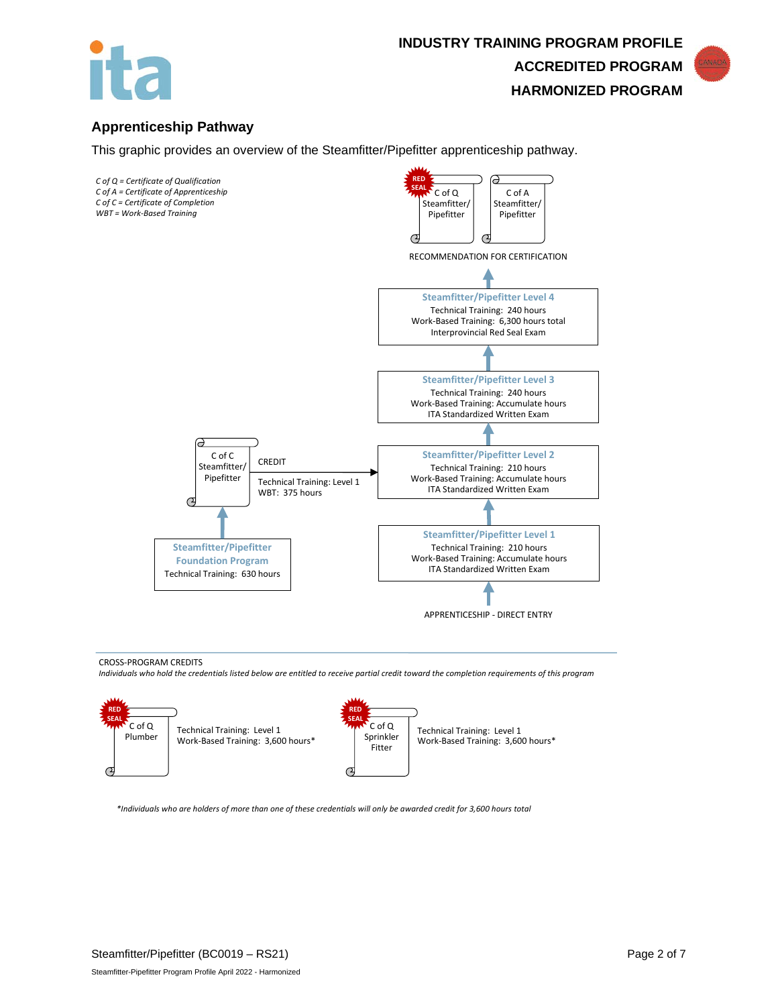



This graphic provides an overview of the Steamfitter/Pipefitter apprenticeship pathway.



#### CROSS-PROGRAM CREDITS

*Individuals who hold the credentials listed below are entitled to receive partial credit toward the completion requirements of this program*



*\*Individuals who are holders of more than one of these credentials will only be awarded credit for 3,600 hours total*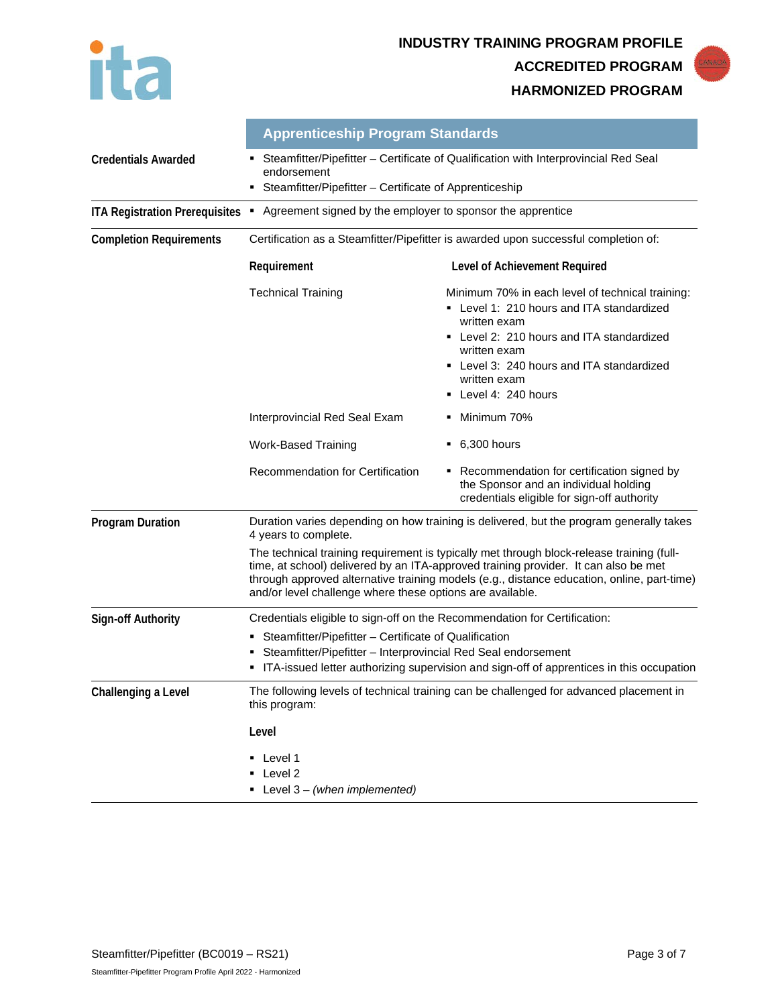



|                                       | <b>Apprenticeship Program Standards</b>                                                                                                                                                                                                                                                                                                                                                                                                                        |                                                                                                                                                                                                                                                               |  |
|---------------------------------------|----------------------------------------------------------------------------------------------------------------------------------------------------------------------------------------------------------------------------------------------------------------------------------------------------------------------------------------------------------------------------------------------------------------------------------------------------------------|---------------------------------------------------------------------------------------------------------------------------------------------------------------------------------------------------------------------------------------------------------------|--|
| <b>Credentials Awarded</b>            | Steamfitter/Pipefitter - Certificate of Qualification with Interprovincial Red Seal<br>endorsement                                                                                                                                                                                                                                                                                                                                                             |                                                                                                                                                                                                                                                               |  |
|                                       | Steamfitter/Pipefitter - Certificate of Apprenticeship                                                                                                                                                                                                                                                                                                                                                                                                         |                                                                                                                                                                                                                                                               |  |
| <b>ITA Registration Prerequisites</b> | Agreement signed by the employer to sponsor the apprentice<br>٠                                                                                                                                                                                                                                                                                                                                                                                                |                                                                                                                                                                                                                                                               |  |
| <b>Completion Requirements</b>        | Certification as a Steamfitter/Pipefitter is awarded upon successful completion of:                                                                                                                                                                                                                                                                                                                                                                            |                                                                                                                                                                                                                                                               |  |
|                                       | Requirement<br>Level of Achievement Required                                                                                                                                                                                                                                                                                                                                                                                                                   |                                                                                                                                                                                                                                                               |  |
|                                       | <b>Technical Training</b>                                                                                                                                                                                                                                                                                                                                                                                                                                      | Minimum 70% in each level of technical training:<br>• Level 1: 210 hours and ITA standardized<br>written exam<br>• Level 2: 210 hours and ITA standardized<br>written exam<br>• Level 3: 240 hours and ITA standardized<br>written exam<br>Level 4: 240 hours |  |
|                                       | Interprovincial Red Seal Exam                                                                                                                                                                                                                                                                                                                                                                                                                                  | Minimum 70%                                                                                                                                                                                                                                                   |  |
|                                       | <b>Work-Based Training</b>                                                                                                                                                                                                                                                                                                                                                                                                                                     | $-6,300$ hours                                                                                                                                                                                                                                                |  |
|                                       | Recommendation for Certification                                                                                                                                                                                                                                                                                                                                                                                                                               | • Recommendation for certification signed by<br>the Sponsor and an individual holding<br>credentials eligible for sign-off authority                                                                                                                          |  |
| <b>Program Duration</b>               | Duration varies depending on how training is delivered, but the program generally takes<br>4 years to complete.<br>The technical training requirement is typically met through block-release training (full-<br>time, at school) delivered by an ITA-approved training provider. It can also be met<br>through approved alternative training models (e.g., distance education, online, part-time)<br>and/or level challenge where these options are available. |                                                                                                                                                                                                                                                               |  |
|                                       |                                                                                                                                                                                                                                                                                                                                                                                                                                                                |                                                                                                                                                                                                                                                               |  |
| <b>Sign-off Authority</b>             | Credentials eligible to sign-off on the Recommendation for Certification:                                                                                                                                                                                                                                                                                                                                                                                      |                                                                                                                                                                                                                                                               |  |
|                                       | Steamfitter/Pipefitter - Certificate of Qualification<br>Steamfitter/Pipefitter - Interprovincial Red Seal endorsement<br>ITA-issued letter authorizing supervision and sign-off of apprentices in this occupation                                                                                                                                                                                                                                             |                                                                                                                                                                                                                                                               |  |
| Challenging a Level                   | The following levels of technical training can be challenged for advanced placement in<br>this program:<br>Level                                                                                                                                                                                                                                                                                                                                               |                                                                                                                                                                                                                                                               |  |
|                                       |                                                                                                                                                                                                                                                                                                                                                                                                                                                                |                                                                                                                                                                                                                                                               |  |
|                                       | • Level 1<br>Level 2<br><b>Level 3- (when implemented)</b>                                                                                                                                                                                                                                                                                                                                                                                                     |                                                                                                                                                                                                                                                               |  |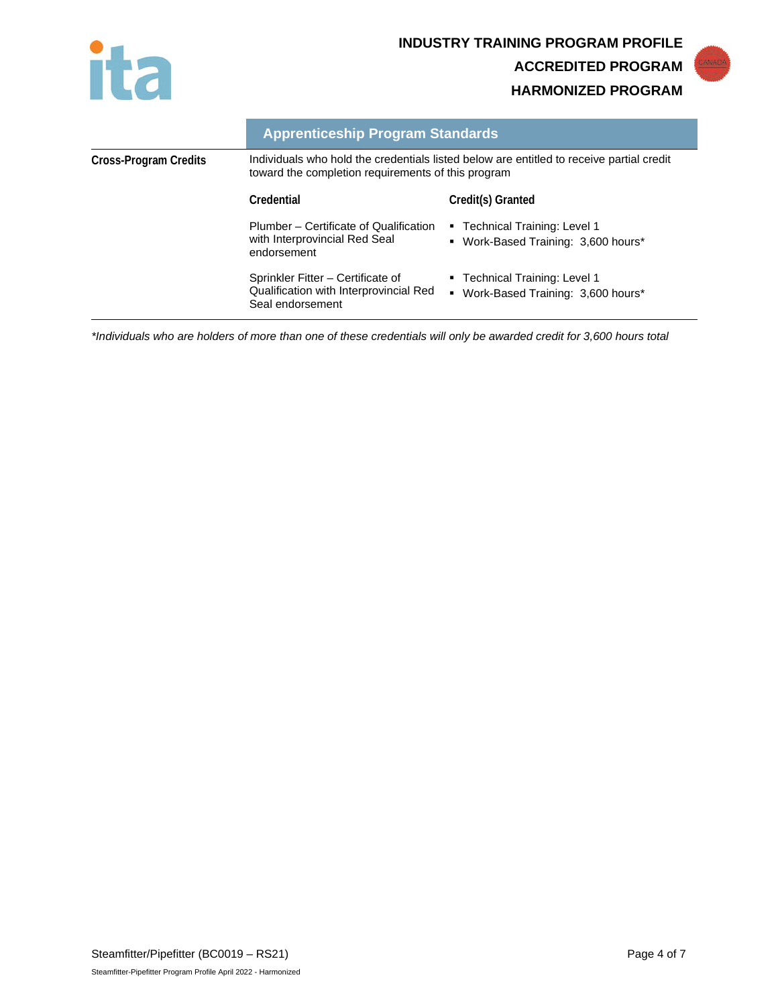



|                       | <b>Apprenticeship Program Standards</b>                                                                                                        |                                                                          |  |
|-----------------------|------------------------------------------------------------------------------------------------------------------------------------------------|--------------------------------------------------------------------------|--|
| Cross-Program Credits | Individuals who hold the credentials listed below are entitled to receive partial credit<br>toward the completion requirements of this program |                                                                          |  |
|                       | Credential                                                                                                                                     | Credit(s) Granted                                                        |  |
|                       | Plumber – Certificate of Qualification<br>with Interprovincial Red Seal<br>endorsement                                                         | ■ Technical Training: Level 1<br>• Work-Based Training: 3,600 hours*     |  |
|                       | Sprinkler Fitter – Certificate of<br>Qualification with Interprovincial Red<br>Seal endorsement                                                | ■ Technical Training: Level 1<br>Work-Based Training: 3,600 hours*<br>٠. |  |

*\*Individuals who are holders of more than one of these credentials will only be awarded credit for 3,600 hours total*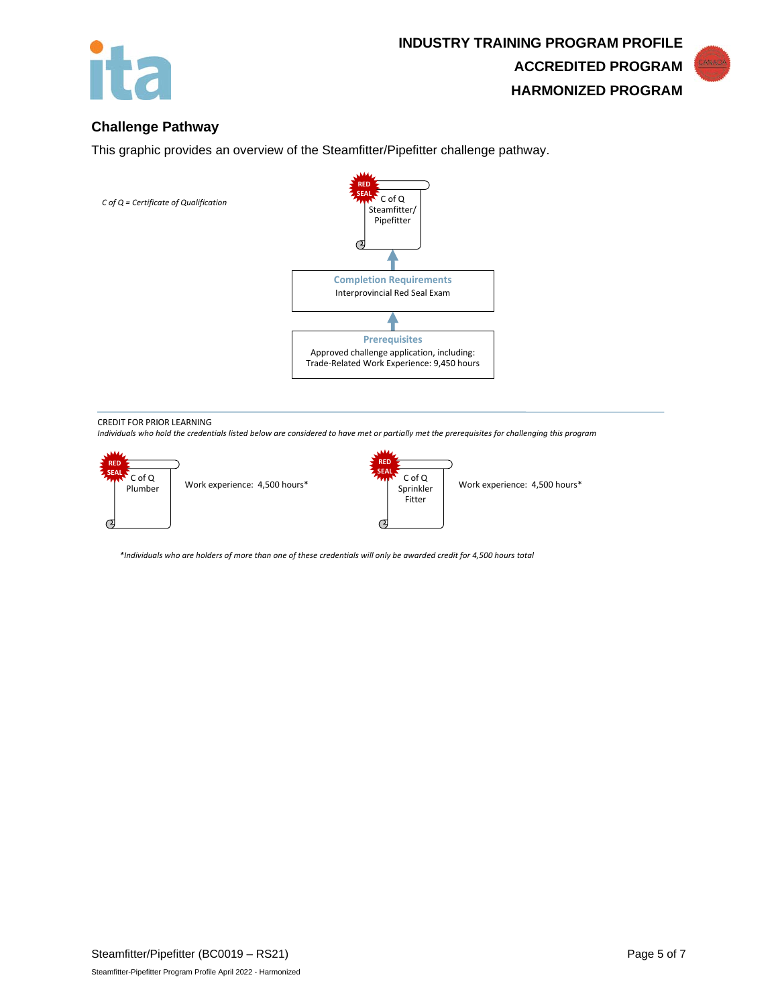

## **Challenge Pathway**

This graphic provides an overview of the Steamfitter/Pipefitter challenge pathway.



#### CREDIT FOR PRIOR LEARNING

*Individuals who hold the credentials listed below are considered to have met or partially met the prerequisites for challenging this program*



*\*Individuals who are holders of more than one of these credentials will only be awarded credit for 4,500 hours total*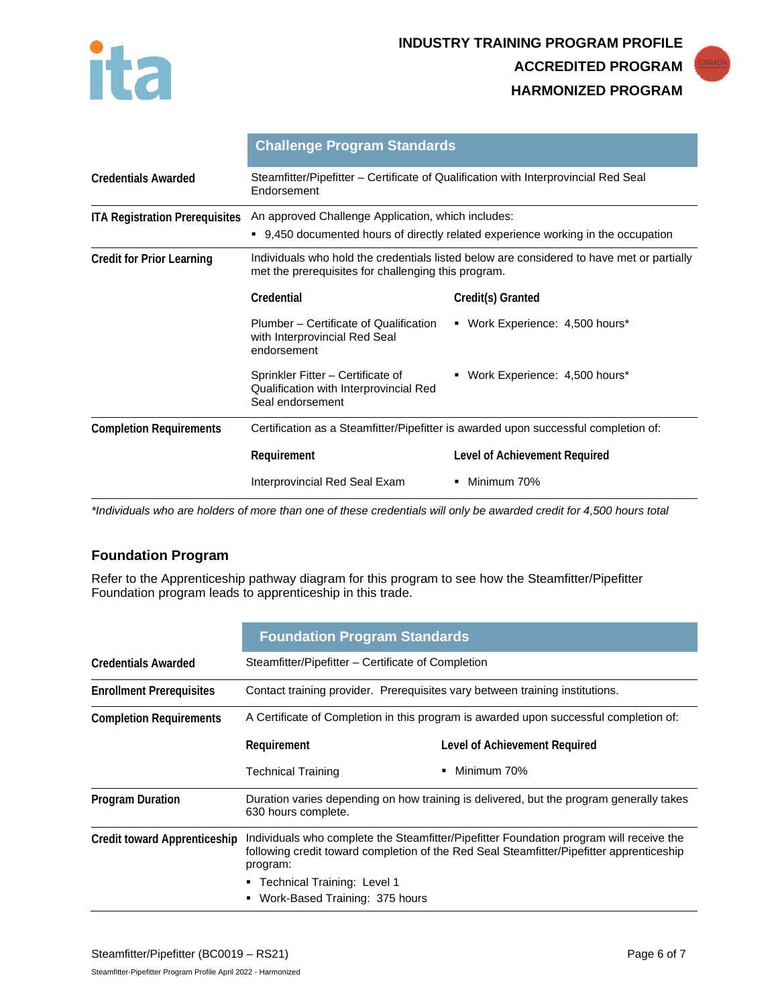



|                                       | <b>Challenge Program Standards</b>                                                                                                               |                                 |  |
|---------------------------------------|--------------------------------------------------------------------------------------------------------------------------------------------------|---------------------------------|--|
| <b>Credentials Awarded</b>            | Steamfitter/Pipefitter – Certificate of Qualification with Interprovincial Red Seal<br>Endorsement                                               |                                 |  |
| <b>ITA Registration Prerequisites</b> | An approved Challenge Application, which includes:                                                                                               |                                 |  |
|                                       | ■ 9,450 documented hours of directly related experience working in the occupation                                                                |                                 |  |
| <b>Credit for Prior Learning</b>      | Individuals who hold the credentials listed below are considered to have met or partially<br>met the prerequisites for challenging this program. |                                 |  |
|                                       | Credential                                                                                                                                       | Credit(s) Granted               |  |
|                                       | Plumber - Certificate of Qualification<br>with Interprovincial Red Seal<br>endorsement                                                           | • Work Experience: 4,500 hours* |  |
|                                       | Sprinkler Fitter – Certificate of<br>Qualification with Interprovincial Red<br>Seal endorsement                                                  | • Work Experience: 4,500 hours* |  |
| <b>Completion Requirements</b>        | Certification as a Steamfitter/Pipefitter is awarded upon successful completion of:                                                              |                                 |  |
|                                       | Requirement                                                                                                                                      | Level of Achievement Required   |  |
|                                       | Interprovincial Red Seal Exam                                                                                                                    | Minimum 70%                     |  |

*\*Individuals who are holders of more than one of these credentials will only be awarded credit for 4,500 hours total*

# **Foundation Program**

Refer to the Apprenticeship pathway diagram for this program to see how the Steamfitter/Pipefitter Foundation program leads to apprenticeship in this trade.

|                                     | <b>Foundation Program Standards</b>                                                                                                                                                                                                                                     |                               |  |
|-------------------------------------|-------------------------------------------------------------------------------------------------------------------------------------------------------------------------------------------------------------------------------------------------------------------------|-------------------------------|--|
| <b>Credentials Awarded</b>          | Steamfitter/Pipefitter – Certificate of Completion                                                                                                                                                                                                                      |                               |  |
| <b>Enrollment Prerequisites</b>     | Contact training provider. Prerequisites vary between training institutions.                                                                                                                                                                                            |                               |  |
| <b>Completion Requirements</b>      | A Certificate of Completion in this program is awarded upon successful completion of:                                                                                                                                                                                   |                               |  |
|                                     | Requirement                                                                                                                                                                                                                                                             | Level of Achievement Required |  |
|                                     | <b>Technical Training</b>                                                                                                                                                                                                                                               | Minimum 70%                   |  |
| <b>Program Duration</b>             | Duration varies depending on how training is delivered, but the program generally takes<br>630 hours complete.                                                                                                                                                          |                               |  |
| <b>Credit toward Apprenticeship</b> | Individuals who complete the Steamfitter/Pipefitter Foundation program will receive the<br>following credit toward completion of the Red Seal Steamfitter/Pipefitter apprenticeship<br>program:<br>■ Technical Training: Level 1<br>Work-Based Training: 375 hours<br>٠ |                               |  |